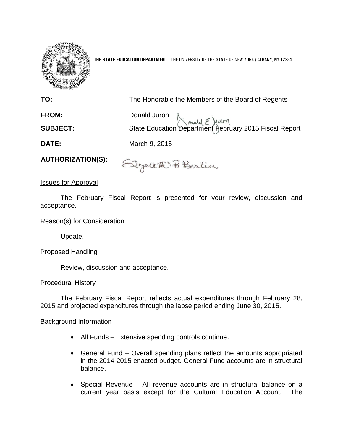

**THE STATE EDUCATION DEPARTMENT** / THE UNIVERSITY OF THE STATE OF NEW YORK / ALBANY, NY 12234

| TO:             | The Honorable the Members of the Board of Regents                      |
|-----------------|------------------------------------------------------------------------|
| <b>FROM:</b>    |                                                                        |
| <b>SUBJECT:</b> | Donald Juron<br>State Education Department February 2015 Fiscal Report |
| <b>DATE:</b>    | March 9, 2015                                                          |
|                 |                                                                        |

**AUTHORIZATION(S):**

Elgath Berlin

# Issues for Approval

The February Fiscal Report is presented for your review, discussion and acceptance.

# Reason(s) for Consideration

Update.

# Proposed Handling

Review, discussion and acceptance.

## Procedural History

The February Fiscal Report reflects actual expenditures through February 28, 2015 and projected expenditures through the lapse period ending June 30, 2015.

## Background Information

- All Funds Extensive spending controls continue.
- General Fund Overall spending plans reflect the amounts appropriated in the 2014-2015 enacted budget. General Fund accounts are in structural balance.
- Special Revenue All revenue accounts are in structural balance on a current year basis except for the Cultural Education Account. The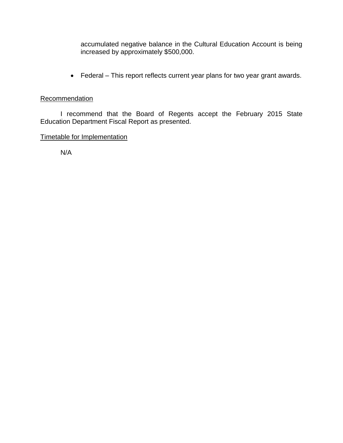accumulated negative balance in the Cultural Education Account is being increased by approximately \$500,000.

Federal – This report reflects current year plans for two year grant awards.

# **Recommendation**

I recommend that the Board of Regents accept the February 2015 State Education Department Fiscal Report as presented.

# Timetable for Implementation

N/A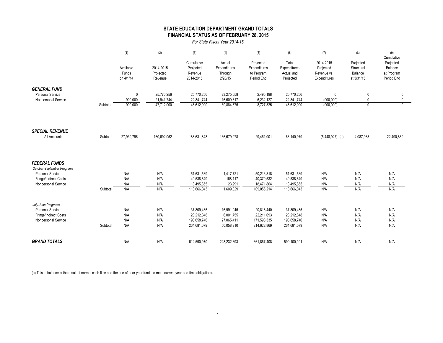## **STATE EDUCATION DEPARTMENT GRAND TOTALS FINANCIAL STATUS AS OF FEBRUARY 28, 2015**

*For State Fiscal Year 2014-15*

|                                                                       |          | (1)                             | (2)                                    | (3)                                             | (4)                                          | (5)                                                   | (6)                                              | (7)                                                   | (8)                                              | (9)                                                            |
|-----------------------------------------------------------------------|----------|---------------------------------|----------------------------------------|-------------------------------------------------|----------------------------------------------|-------------------------------------------------------|--------------------------------------------------|-------------------------------------------------------|--------------------------------------------------|----------------------------------------------------------------|
|                                                                       |          | Available<br>Funds<br>on 4/1/14 | 2014-2015<br>Projected<br>Revenue      | Cumulative<br>Projected<br>Revenue<br>2014-2015 | Actual<br>Expenditures<br>Through<br>2/28/15 | Projected<br>Expenditures<br>to Program<br>Period End | Total<br>Expenditures<br>Actual and<br>Projected | 2014-2015<br>Projected<br>Revenue vs.<br>Expenditures | Projected<br>Structural<br>Balance<br>at 3/31/15 | Cumulative<br>Projected<br>Balance<br>at Program<br>Period End |
| <b>GENERAL FUND</b><br><b>Personal Service</b><br>Nonpersonal Service | Subtotal | 0<br>900,000<br>900,000         | 25,770,256<br>21,941,744<br>47,712,000 | 25,770,256<br>22,841,744<br>48,612,000          | 23,275,058<br>16,609,617<br>39,884,675       | 2,495,198<br>6,232,127<br>8,727,325                   | 25,770,256<br>22,841,744<br>48,612,000           | $\mathbf 0$<br>(900,000)<br>(900,000)                 | 0<br>$\Omega$<br>$\Omega$                        | 0<br>$\mathbf 0$<br>$\Omega$                                   |
|                                                                       |          |                                 |                                        |                                                 |                                              |                                                       |                                                  |                                                       |                                                  |                                                                |
| <b>SPECIAL REVENUE</b><br>All Accounts                                | Subtotal | 27,939,796                      | 160,692,052                            | 188,631,848                                     | 136,679,978                                  | 29,461,001                                            | 166,140,979                                      | $(5,448,927)$ (a)                                     | 4,087,963                                        | 22,490,869                                                     |
| <b>FEDERAL FUNDS</b><br>October-September Programs                    |          |                                 |                                        |                                                 |                                              |                                                       |                                                  |                                                       |                                                  |                                                                |
| <b>Personal Service</b>                                               |          | N/A                             | N/A                                    | 51,631,539                                      | 1,417,721                                    | 50,213,818                                            | 51,631,539                                       | N/A                                                   | N/A                                              | N/A                                                            |
| Fringe/Indirect Costs<br>Nonpersonal Service                          |          | N/A<br>N/A                      | N/A<br>N/A                             | 40,538,649<br>18,495,855                        | 168,117<br>23,991                            | 40,370,532<br>18,471,864                              | 40,538,649<br>18,495,855                         | N/A<br>N/A                                            | N/A<br>N/A                                       | N/A<br>N/A                                                     |
|                                                                       | Subtotal | N/A                             | N/A                                    | 110,666,043                                     | 1,609,829                                    | 109,056,214                                           | 110,666,043                                      | N/A                                                   | N/A                                              | N/A                                                            |
| July-June Programs                                                    |          |                                 |                                        |                                                 |                                              |                                                       |                                                  |                                                       |                                                  |                                                                |
| Personal Service<br>Fringe/Indirect Costs                             |          | N/A<br>N/A                      | N/A<br>N/A                             | 37,809,485<br>28,212,848                        | 16,991,045<br>6,001,755                      | 20,818,440<br>22,211,093                              | 37,809,485<br>28,212,848                         | N/A<br>N/A                                            | N/A<br>N/A                                       | N/A<br>N/A                                                     |
| Nonpersonal Service                                                   |          | N/A                             | N/A                                    | 198,658,746                                     | 27,065,411                                   | 171,593,335                                           | 198,658,746                                      | N/A                                                   | N/A                                              | N/A                                                            |
|                                                                       | Subtotal | N/A                             | N/A                                    | 264,681,079                                     | 50,058,210                                   | 214,622,869                                           | 264,681,079                                      | N/A                                                   | N/A                                              | N/A                                                            |
| <b>GRAND TOTALS</b>                                                   |          | N/A                             | N/A                                    | 612,590,970                                     | 228,232,693                                  | 361,867,408                                           | 590,100,101                                      | N/A                                                   | N/A                                              | N/A                                                            |

(a) This imbalance is the result of normal cash flow and the use of prior year funds to meet current year one-time obligations.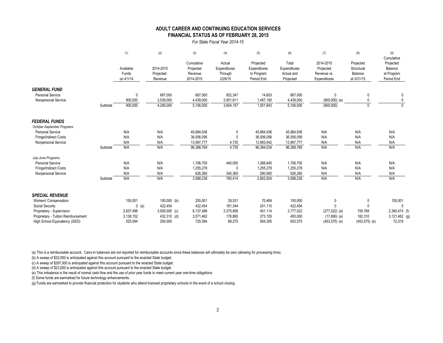#### **FINANCIAL STATUS AS OF FEBRUARY 28, 2015 ADULT CAREER AND CONTINUING EDUCATION SERVICES**

*For State Fiscal Year 2014-15*

|                                         |          | (1)                             | (2)                               | (3)                                             | (4)                                          | (5)                                                   | (6)                                              | (7)                                                   | (8)                                              | (9)<br>Cumulative                                |
|-----------------------------------------|----------|---------------------------------|-----------------------------------|-------------------------------------------------|----------------------------------------------|-------------------------------------------------------|--------------------------------------------------|-------------------------------------------------------|--------------------------------------------------|--------------------------------------------------|
|                                         |          | Available<br>Funds<br>on 4/1/14 | 2014-2015<br>Projected<br>Revenue | Cumulative<br>Projected<br>Revenue<br>2014-2015 | Actual<br>Expenditures<br>Through<br>2/28/15 | Projected<br>Expenditures<br>to Program<br>Period End | Total<br>Expenditures<br>Actual and<br>Projected | 2014-2015<br>Projected<br>Revenue vs.<br>Expenditures | Projected<br>Structural<br>Balance<br>at 3/31/15 | Projected<br>Balance<br>at Program<br>Period End |
| <b>GENERAL FUND</b><br>Personal Service |          | 0                               | 667,000                           | 667,000                                         | 652,347                                      | 14,653                                                | 667,000                                          | 0                                                     | $\mathbf{0}$                                     |                                                  |
| Nonpersonal Service                     |          | 900,000                         | 3,539,000                         | 4,439,000                                       | 2,951,811                                    | 1,487,190                                             | 4,439,000                                        | $(900,000)$ (e)                                       | $\mathbf{0}$                                     |                                                  |
|                                         | Subtotal | 900,000                         | 4,206,000                         | 5,106,000                                       | 3,604,157                                    | 1,501,843                                             | 5,106,000                                        | (900,000)                                             | $\mathbf{0}$                                     | $\Omega$                                         |
| <b>FEDERAL FUNDS</b>                    |          |                                 |                                   |                                                 |                                              |                                                       |                                                  |                                                       |                                                  |                                                  |
| October-September Programs              |          |                                 |                                   |                                                 |                                              |                                                       |                                                  |                                                       |                                                  |                                                  |
| <b>Personal Service</b>                 |          | N/A                             | N/A                               | 45,884,936                                      | $\Omega$                                     | 45,884,936                                            | 45,884,936                                       | N/A                                                   | N/A                                              | N/A                                              |
| Fringe/Indirect Costs                   |          | N/A                             | N/A                               | 36,506,056                                      |                                              | 36,506,056                                            | 36,506,056                                       | N/A                                                   | N/A                                              | N/A                                              |
| Nonpersonal Service                     |          | N/A                             | N/A                               | 13,997,777                                      | 4,735                                        | 13,993,042                                            | 13,997,777                                       | N/A                                                   | N/A                                              | N/A                                              |
|                                         | Subtotal | N/A                             | N/A                               | 96,388,769                                      | 4,735                                        | 96,384,034                                            | 96,388,769                                       | N/A                                                   | N/A                                              | N/A                                              |
| July-June Programs                      |          |                                 |                                   |                                                 |                                              |                                                       |                                                  |                                                       |                                                  |                                                  |
| <b>Personal Service</b>                 |          | N/A                             | N/A                               | 1,706,700                                       | 440,055                                      | 1,266,645                                             | 1,706,700                                        | N/A                                                   | N/A                                              | N/A                                              |
| Fringe/Indirect Costs                   |          | N/A                             | N/A                               | 1,255,278                                       |                                              | 1,255,278                                             | 1,255,278                                        | N/A                                                   | N/A                                              | N/A                                              |
| Nonpersonal Service                     |          | N/A                             | N/A                               | 626,260                                         | 345,360                                      | 280,900                                               | 626,260                                          | N/A                                                   | N/A                                              | N/A                                              |
|                                         | Subtotal | N/A                             | N/A                               | 3,588,238                                       | 785,414                                      | 2,802,824                                             | 3,588,238                                        | N/A                                                   | N/A                                              | N/A                                              |
| <b>SPECIAL REVENUE</b>                  |          |                                 |                                   |                                                 |                                              |                                                       |                                                  |                                                       |                                                  |                                                  |
| Workers' Compensation                   |          | 155,001                         | $100,000$ (b)                     | 255,001                                         | 29,531                                       | 70,469                                                | 100,000                                          | 0                                                     | 0                                                | 155,001                                          |
| Social Security                         |          | $0$ (a)                         | 422,454                           | 422,454                                         | 181,344                                      | 241,110                                               | 422,454                                          | $\Omega$                                              | $\mathbf{0}$                                     | $\mathbf{0}$                                     |
| Proprietary - Supervision               |          | 2,637,496                       | $3,500,000$ (c)                   | 6,137,496                                       | 3,375,908                                    | 401,114                                               | 3,777,022                                        | $(277, 022)$ (e)                                      | 159,768                                          | 2,360,474 (f)                                    |
| Proprietary - Tuition Reimbursement     |          | 3,139,152                       | 432,310 (d)                       | 3,571,462                                       | 176,895                                      | 273,105                                               | 450,000                                          | $(17,690)$ (e)                                        | 182,310                                          | 3,121,462 (g)                                    |
| High School Equivalency (GED)           |          | 525.594                         | 200.000                           | 725.594                                         | 89.270                                       | 564.305                                               | 653.575                                          | $(453, 575)$ (e)                                      | $(453, 575)$ (e)                                 | 72.019                                           |

(a) This is a reimbursable account. Carry-in balances are not reported for reimbursable accounts since these balances will ultimately be zero (allowing for processing time).

(b) A sweep of \$32,000 is anticipated against this account pursuant to the enacted State budget.

(c) A sweep of \$297,000 is anticipated against this account pursuant to the enacted State budget.

(d) A sweep of \$23,000 is anticipated against this account pursuant to the enacted State budget.

(e) This imbalance is the result of normal cash flow and the use of prior year funds to meet current year one-time obligations.

(f) Some funds are earmarked for future technology enhancements.

(g) Funds are earmarked to provide financial protection for students who attend licensed proprietary schools in the event of a school closing.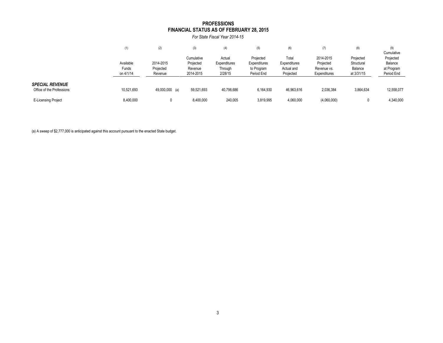### **FINANCIAL STATUS AS OF FEBRUARY 28, 2015 PROFESSIONS**

*For State Fiscal Year 2014-15*

|                                                     | (1)                             | (2)                               | (3)                                             | (4)                                          | (5)                                                   | (6)                                              | (7)                                                   | (8)                                              | (9)<br>Cumulative                                |
|-----------------------------------------------------|---------------------------------|-----------------------------------|-------------------------------------------------|----------------------------------------------|-------------------------------------------------------|--------------------------------------------------|-------------------------------------------------------|--------------------------------------------------|--------------------------------------------------|
|                                                     | Available<br>Funds<br>on 4/1/14 | 2014-2015<br>Projected<br>Revenue | Cumulative<br>Projected<br>Revenue<br>2014-2015 | Actual<br>Expenditures<br>Through<br>2/28/15 | Projected<br>Expenditures<br>to Program<br>Period End | Total<br>Expenditures<br>Actual and<br>Projected | 2014-2015<br>Projected<br>Revenue vs.<br>Expenditures | Projected<br>Structural<br>Balance<br>at 3/31/15 | Projected<br>Balance<br>at Program<br>Period End |
| <b>SPECIAL REVENUE</b><br>Office of the Professions | 10,521,693                      | 49,000,000 (a)                    | 59,521,693                                      | 40,798,686                                   | 6,164,930                                             | 46,963,616                                       | 2,036,384                                             | 3,864,634                                        | 12,558,077                                       |
| <b>E-Licensing Project</b>                          | 8,400,000                       |                                   | 8,400,000                                       | 240,005                                      | 3,819,995                                             | 4,060,000                                        | (4,060,000)                                           | 0                                                | 4,340,000                                        |

(a) A sweep of \$2,777,000 is anticipated against this account pursuant to the enacted State budget.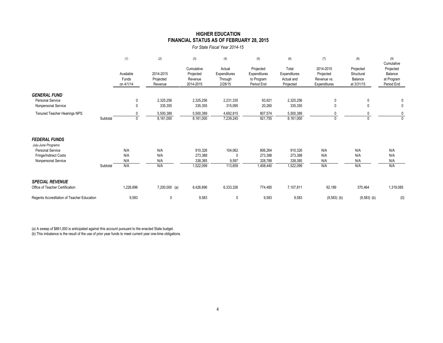#### **HIGHER EDUCATION FINANCIAL STATUS AS OF FEBRUARY 28, 2015**

*For State Fiscal Year 2014-15*

|                                                                  |          | (1)                             | (2)                               | (3)                                             | (4)                                          | (5)                                                   | (6)                                              | (7)                                                   | (8)                                              | (9)<br>Cumulative                                |
|------------------------------------------------------------------|----------|---------------------------------|-----------------------------------|-------------------------------------------------|----------------------------------------------|-------------------------------------------------------|--------------------------------------------------|-------------------------------------------------------|--------------------------------------------------|--------------------------------------------------|
|                                                                  |          | Available<br>Funds<br>on 4/1/14 | 2014-2015<br>Projected<br>Revenue | Cumulative<br>Projected<br>Revenue<br>2014-2015 | Actual<br>Expenditures<br>Through<br>2/28/15 | Projected<br>Expenditures<br>to Program<br>Period End | Total<br>Expenditures<br>Actual and<br>Projected | 2014-2015<br>Projected<br>Revenue vs.<br>Expenditures | Projected<br>Structural<br>Balance<br>at 3/31/15 | Projected<br>Balance<br>at Program<br>Period End |
| <b>GENERAL FUND</b><br>Personal Service<br>Nonpersonal Service   |          | 0<br>$\mathbf{0}$               | 2,325,256<br>335,355              | 2,325,256<br>335,355                            | 2,231,335<br>315,095                         | 93,921<br>20,260                                      | 2,325,256<br>335,355                             | 0<br>$\mathbf 0$                                      | 0<br>$\mathbf{0}$                                | 0<br>0                                           |
| Tenured Teacher Hearings NPS                                     | Subtotal | $\mathbf{0}$                    | 5,500,389<br>8,161,000            | 5,500,389<br>8,161,000                          | 4,692,815<br>7,239,245                       | 807,574<br>921,755                                    | 5,500,389<br>8,161,000                           | 0                                                     |                                                  | 0<br>$\mathbf{0}$                                |
| <b>FEDERAL FUNDS</b><br>July-June Programs                       |          |                                 |                                   |                                                 |                                              |                                                       |                                                  |                                                       |                                                  |                                                  |
| Personal Service<br>Fringe/Indirect Costs<br>Nonpersonal Service |          | N/A<br>N/A<br>N/A               | N/A<br>N/A<br>N/A                 | 910,326<br>273,388<br>338,385                   | 104,062<br>9,597                             | 806,264<br>273,388<br>328,788                         | 910,326<br>273,388<br>338,385                    | N/A<br>N/A<br>N/A                                     | N/A<br>N/A<br>N/A                                | N/A<br>N/A<br>N/A                                |
|                                                                  | Subtotal | N/A                             | N/A                               | 1,522,099                                       | 113,659                                      | 1,408,440                                             | 1,522,099                                        | N/A                                                   | N/A                                              | N/A                                              |
| <b>SPECIAL REVENUE</b><br>Office of Teacher Certification        |          | 1,226,896                       | 7,200,000 (a)                     | 8,426,896                                       | 6,333,326                                    | 774,485                                               | 7,107,811                                        | 92,189                                                | 370,464                                          | 1,319,085                                        |
| Regents Accreditation of Teacher Education                       |          | 9,583                           | 0                                 | 9,583                                           | 0                                            | 9,583                                                 | 9,583                                            | $(9,583)$ (b)                                         | $(9,583)$ (b)                                    | (0)                                              |

(a) A sweep of \$861,000 is anticipated against this account pursuant to the enacted State budget.

(b) This imbalance is the result of the use of prior year funds to meet current year one-time obligations.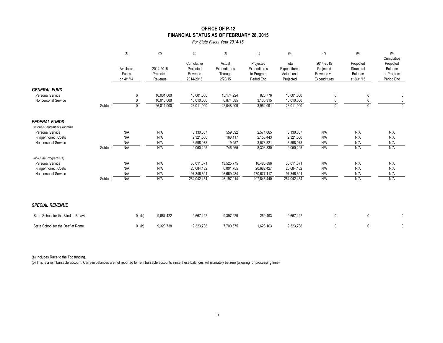## **OFFICE OF P-12 FINANCIAL STATUS AS OF FEBRUARY 28, 2015**

*For State Fiscal Year 2014-15*

|                                                                       |          | (1)                             | (2)                                    | (3)                                             | (4)                                          | (5)                                                   | (6)                                              | (7)                                                   | (8)                                              | (9)<br>Cumulative                                |
|-----------------------------------------------------------------------|----------|---------------------------------|----------------------------------------|-------------------------------------------------|----------------------------------------------|-------------------------------------------------------|--------------------------------------------------|-------------------------------------------------------|--------------------------------------------------|--------------------------------------------------|
|                                                                       |          | Available<br>Funds<br>on 4/1/14 | 2014-2015<br>Projected<br>Revenue      | Cumulative<br>Projected<br>Revenue<br>2014-2015 | Actual<br>Expenditures<br>Through<br>2/28/15 | Projected<br>Expenditures<br>to Program<br>Period End | Total<br>Expenditures<br>Actual and<br>Projected | 2014-2015<br>Projected<br>Revenue vs.<br>Expenditures | Projected<br>Structural<br>Balance<br>at 3/31/15 | Projected<br>Balance<br>at Program<br>Period End |
| <b>GENERAL FUND</b><br><b>Personal Service</b><br>Nonpersonal Service | Subtotal | 0<br>0<br>0                     | 16,001,000<br>10,010,000<br>26,011,000 | 16,001,000<br>10,010,000<br>26,011,000          | 15,174,224<br>6,874,685<br>22,048,909        | 826,776<br>3,135,315<br>3,962,091                     | 16,001,000<br>10,010,000<br>26,011,000           | 0<br>0<br>$\mathbf{0}$                                | 0<br>0<br>$\mathbf{0}$                           | 0<br>$\mathbf 0$<br>$\mathbf{0}$                 |
| <b>FEDERAL FUNDS</b><br>October-September Programs                    |          |                                 |                                        |                                                 |                                              |                                                       |                                                  |                                                       |                                                  |                                                  |
| <b>Personal Service</b>                                               |          | N/A                             | N/A                                    | 3,130,657                                       | 559,592                                      | 2,571,065                                             | 3,130,657                                        | N/A                                                   | N/A                                              | N/A                                              |
| Fringe/Indirect Costs                                                 |          | N/A                             | N/A                                    | 2,321,560                                       | 168,117                                      | 2,153,443                                             | 2,321,560                                        | N/A                                                   | N/A                                              | N/A                                              |
| Nonpersonal Service                                                   |          | N/A                             | N/A                                    | 3,598,078                                       | 19,257                                       | 3,578,821                                             | 3,598,078                                        | N/A                                                   | N/A                                              | N/A                                              |
|                                                                       | Subtotal | N/A                             | N/A                                    | 9,050,295                                       | 746,965                                      | 8,303,330                                             | 9,050,295                                        | N/A                                                   | N/A                                              | N/A                                              |
| July-June Programs (a)                                                |          |                                 |                                        |                                                 |                                              |                                                       |                                                  |                                                       |                                                  |                                                  |
| <b>Personal Service</b>                                               |          | N/A                             | N/A                                    | 30,011,671                                      | 13,525,775                                   | 16,485,896                                            | 30,011,671                                       | N/A                                                   | N/A                                              | N/A                                              |
| Fringe/Indirect Costs                                                 |          | N/A<br>N/A                      | N/A<br>N/A                             | 26,684,182<br>197,346,601                       | 6,001,755<br>26,669,484                      | 20,682,427<br>170,677,117                             | 26,684,182                                       | N/A<br>N/A                                            | N/A<br>N/A                                       | N/A                                              |
| Nonpersonal Service                                                   | Subtotal | N/A                             | N/A                                    | 254,042,454                                     | 46,197,014                                   | 207,845,440                                           | 197,346,601<br>254,042,454                       | N/A                                                   | N/A                                              | N/A<br>N/A                                       |
| <b>SPECIAL REVENUE</b>                                                |          |                                 |                                        |                                                 |                                              |                                                       |                                                  |                                                       |                                                  |                                                  |
| State School for the Blind at Batavia                                 |          | $0$ (b)                         | 9,667,422                              | 9,667,422                                       | 9,397,929                                    | 269,493                                               | 9,667,422                                        | 0                                                     | 0                                                | 0                                                |
| State School for the Deaf at Rome                                     |          | $0$ (b)                         | 9,323,738                              | 9,323,738                                       | 7,700,575                                    | 1,623,163                                             | 9,323,738                                        | 0                                                     | 0                                                | 0                                                |

(a) Includes Race to the Top funding.

(b) This is a reimbursable account. Carry-in balances are not reported for reimbursable accounts since these balances will ultimately be zero (allowing for processing time).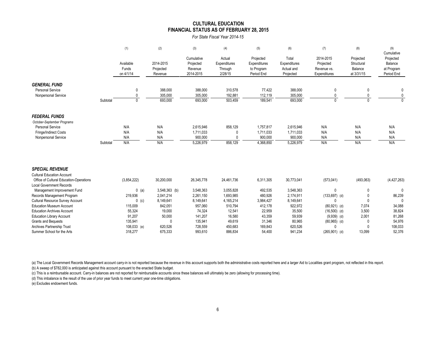#### **FINANCIAL STATUS AS OF FEBRUARY 28, 2015 CULTURAL EDUCATION**

*For State Fiscal Year 2014-15*

|                                                    |          | (1)                             | (2)                               | (3)                                             | (4)                                          | (5)                                                   | (6)                                              | (7)                                                   | (8)                                              | (9)<br>Cumulative                                |
|----------------------------------------------------|----------|---------------------------------|-----------------------------------|-------------------------------------------------|----------------------------------------------|-------------------------------------------------------|--------------------------------------------------|-------------------------------------------------------|--------------------------------------------------|--------------------------------------------------|
|                                                    |          | Available<br>Funds<br>on 4/1/14 | 2014-2015<br>Projected<br>Revenue | Cumulative<br>Projected<br>Revenue<br>2014-2015 | Actual<br>Expenditures<br>Through<br>2/28/15 | Projected<br>Expenditures<br>to Program<br>Period End | Total<br>Expenditures<br>Actual and<br>Projected | 2014-2015<br>Projected<br>Revenue vs.<br>Expenditures | Projected<br>Structural<br>Balance<br>at 3/31/15 | Projected<br>Balance<br>at Program<br>Period End |
| <b>GENERAL FUND</b>                                |          |                                 |                                   |                                                 |                                              |                                                       |                                                  |                                                       |                                                  |                                                  |
| <b>Personal Service</b>                            |          | 0                               | 388,000                           | 388,000                                         | 310,578                                      | 77,422                                                | 388,000                                          | 0                                                     | 0                                                | 0                                                |
| Nonpersonal Service                                |          | $\mathbf{0}$                    | 305,000                           | 305,000                                         | 192.881                                      | 112,119                                               | 305,000                                          | $\Omega$                                              | 0                                                | 0                                                |
|                                                    | Subtotal | $\mathbf{0}$                    | 693,000                           | 693,000                                         | 503,459                                      | 189,541                                               | 693,000                                          | $\Omega$                                              | $\Omega$                                         | $\Omega$                                         |
| <b>FEDERAL FUNDS</b><br>October-September Programs |          |                                 |                                   |                                                 |                                              |                                                       |                                                  |                                                       |                                                  |                                                  |
| <b>Personal Service</b>                            |          | N/A                             | N/A                               | 2,615,946                                       | 858,129                                      | 1,757,817                                             | 2,615,946                                        | N/A                                                   | N/A                                              | N/A                                              |
| Fringe/Indirect Costs                              |          | N/A                             | N/A                               | 1,711,033                                       | 0                                            | 1,711,033                                             | 1,711,033                                        | N/A                                                   | N/A                                              | N/A                                              |
| Nonpersonal Service                                |          | N/A                             | N/A                               | 900,000                                         | $\Omega$                                     | 900.000                                               | 900,000                                          | N/A                                                   | N/A                                              | N/A                                              |
|                                                    | Subtotal | N/A                             | N/A                               | 5,226,979                                       | 858,129                                      | 4,368,850                                             | 5,226,979                                        | N/A                                                   | N/A                                              | N/A                                              |
| <b>SPECIAL REVENUE</b>                             |          |                                 |                                   |                                                 |                                              |                                                       |                                                  |                                                       |                                                  |                                                  |
| <b>Cultural Education Account</b>                  |          |                                 |                                   |                                                 |                                              |                                                       |                                                  |                                                       |                                                  |                                                  |
| Office of Cultural Education-Operations            |          | (3,854,222)                     | 30,200,000                        | 26,345,778                                      | 24,461,736                                   | 6,311,305                                             | 30,773,041                                       | (573, 041)                                            | (493,063)                                        | (4, 427, 263)                                    |
| <b>Local Government Records</b>                    |          |                                 |                                   |                                                 |                                              |                                                       |                                                  |                                                       |                                                  |                                                  |
| Management Improvement Fund                        |          | $0$ (a)                         | 3,548,363 (b)                     | 3,548,363                                       | 3,055,828                                    | 492,535                                               | 3,548,363                                        | $\mathbf{0}$                                          | 0                                                | $\Omega$                                         |
| Records Management Program                         |          | 219,936                         | 2,041,214                         | 2,261,150                                       | 1,693,985                                    | 480,926                                               | 2,174,911                                        | $(133, 697)$ (d)                                      | 0                                                | 86,239                                           |
| <b>Cultural Resource Survey Account</b>            |          | $0$ (c)                         | 8,149,641                         | 8,149,641                                       | 4,165,214                                    | 3,984,427                                             | 8,149,641                                        |                                                       | $\Omega$                                         | $\Omega$                                         |
| <b>Education Museum Account</b>                    |          | 115,009                         | 842,051                           | 957,060                                         | 510,794                                      | 412,178                                               | 922,972                                          | $(80,921)$ (d)                                        | 7,074                                            | 34,088                                           |
| <b>Education Archives Account</b>                  |          | 55,324                          | 19,000                            | 74,324                                          | 12,541                                       | 22,959                                                | 35,500                                           | $(16,500)$ (d)                                        | 3,500                                            | 38,824                                           |
| <b>Education Library Account</b>                   |          | 91,207                          | 50,000                            | 141,207                                         | 16,580                                       | 43,359                                                | 59,939                                           | $(9,939)$ (d)                                         | 2,001                                            | 81,268                                           |
| Grants and Bequests                                |          | 135,941                         | 0                                 | 135,941                                         | 49,619                                       | 31,346                                                | 80,965                                           | $(80,965)$ (d)                                        |                                                  | 54,976                                           |
| <b>Archives Partnership Trust</b>                  |          | $108,033$ (e)                   | 620.526                           | 728.559                                         | 450.683                                      | 169.843                                               | 620.526                                          | $\Omega$                                              | $\Omega$                                         | 108.033                                          |

(a) The Local Government Records Management account carry-in is not reported because the revenue in this account supports both the administrative costs reported here and a larger Aid to Localities grant program, not reflec

(b) A sweep of \$782,000 is anticipated against this account pursuant to the enacted State budget.

(c) This is a reimbursable account. Carry-in balances are not reported for reimbursable accounts since these balances will ultimately be zero (allowing for processing time).

(d) This imbalance is the result of the use of prior year funds to meet current year one-time obligations.

(e) Excludes endowment funds.

Summer School for the Arts 318,277 675,333 993,610 886,834 54,400 941,234 (265,901) (d) 13,099 52,376